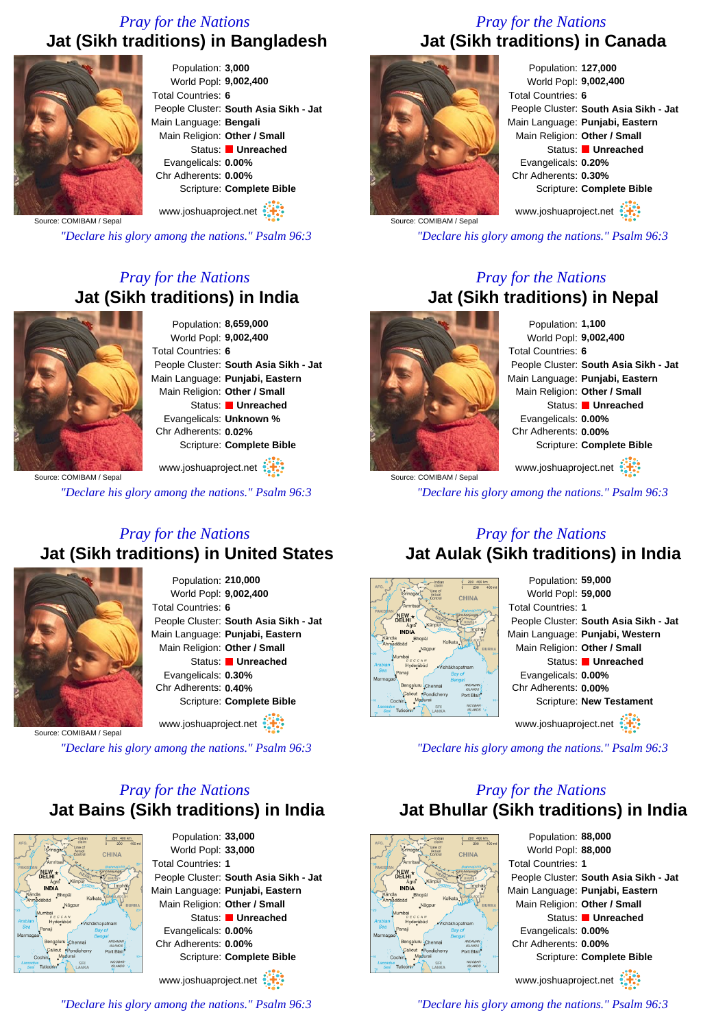## *Pray for the Nations* **Jat (Sikh traditions) in Bangladesh**



Population: **3,000** World Popl: **9,002,400** Total Countries: **6** People Cluster: **South Asia Sikh - Jat** Main Language: **Bengali** Main Religion: **Other / Small** Status: **Unreached** Evangelicals: **0.00%** Chr Adherents: **0.00%** Scripture: **Complete Bible**

www.joshuaproject.net

Source: COMIBAM / Sepal

*"Declare his glory among the nations." Psalm 96:3*

### *Pray for the Nations* **Jat (Sikh traditions) in India**



Population: **8,659,000** World Popl: **9,002,400** Total Countries: **6** People Cluster: **South Asia Sikh - Jat** Main Language: **Punjabi, Eastern** Main Religion: **Other / Small** Status: **Unreached** Evangelicals: **Unknown %** Chr Adherents: **0.02%** Scripture: **Complete Bible**

www.joshuaproject.net

*"Declare his glory among the nations." Psalm 96:3*

#### *Pray for the Nations* **Jat (Sikh traditions) in United States**



Population: **210,000** World Popl: **9,002,400** Total Countries: **6** People Cluster: **South Asia Sikh - Jat** Main Language: **Punjabi, Eastern** Main Religion: **Other / Small** Status: **Unreached** Evangelicals: **0.30%** Chr Adherents: **0.40%** Scripture: **Complete Bible** www.joshuaproject.net

*"Declare his glory among the nations." Psalm 96:3*

## *Pray for the Nations* **Jat Bains (Sikh traditions) in India**



Population: **33,000** World Popl: **33,000** Total Countries: **1** People Cluster: **South Asia Sikh - Jat** Main Language: **Punjabi, Eastern** Main Religion: **Other / Small** Status: **Unreached** Evangelicals: **0.00%** Chr Adherents: **0.00%** Scripture: **Complete Bible** www.joshuaproject.net

*"Declare his glory among the nations." Psalm 96:3*

## *Pray for the Nations* **Jat (Sikh traditions) in Canada**



Population: **127,000** World Popl: **9,002,400** Total Countries: **6** People Cluster: **South Asia Sikh - Jat** Main Language: **Punjabi, Eastern** Main Religion: **Other / Small** Status: **Unreached** Evangelicals: **0.20%** Chr Adherents: **0.30%** Scripture: **Complete Bible** www.joshuaproject.net

Source: COMIBAM / Sepal

*"Declare his glory among the nations." Psalm 96:3*

#### *Pray for the Nations* **Jat (Sikh traditions) in Nepal**



Population: **1,100** World Popl: **9,002,400** Total Countries: **6** People Cluster: **South Asia Sikh - Jat** Main Language: **Punjabi, Eastern** Main Religion: **Other / Small** Status: **Unreached** Evangelicals: **0.00%** Chr Adherents: **0.00%** Scripture: **Complete Bible** www.joshuaproject.net

Source: COMIBAM / Sepa *"Declare his glory among the nations." Psalm 96:3*

#### *Pray for the Nations* **Jat Aulak (Sikh traditions) in India**





*"Declare his glory among the nations." Psalm 96:3*

### *Pray for the Nations* **Jat Bhullar (Sikh traditions) in India**



Population: **88,000** World Popl: **88,000** Total Countries: **1** People Cluster: **South Asia Sikh - Jat** Main Language: **Punjabi, Eastern** Main Religion: **Other / Small** Status: **Unreached** Evangelicals: **0.00%** Chr Adherents: **0.00%** Scripture: **Complete Bible** www.joshuaproject.net

*"Declare his glory among the nations." Psalm 96:3*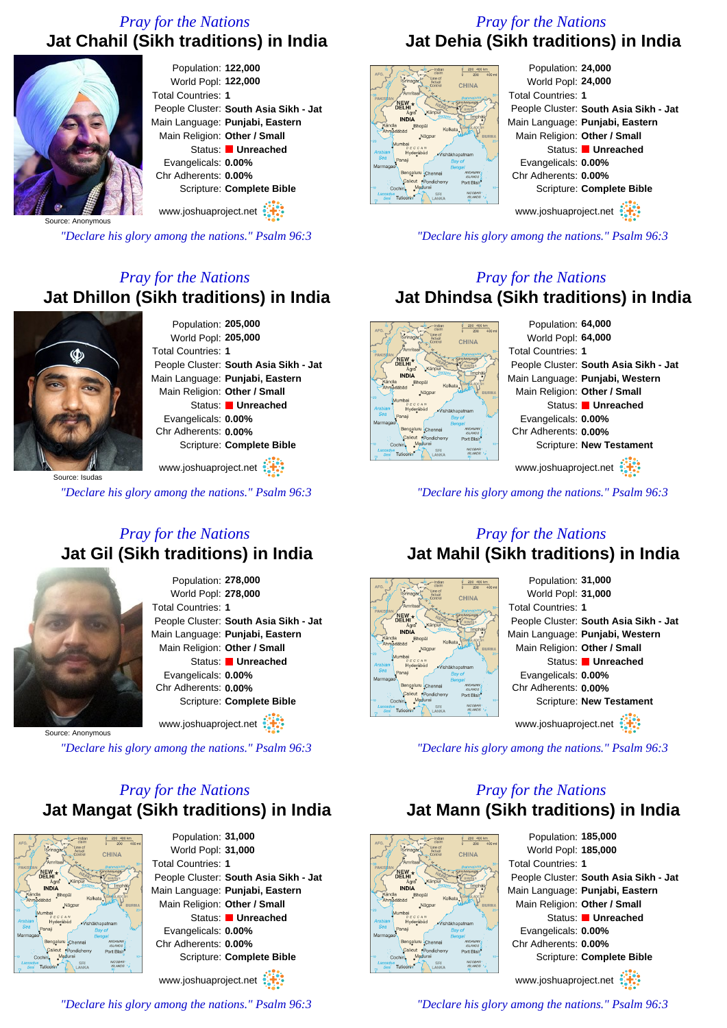## *Pray for the Nations* **Jat Chahil (Sikh traditions) in India**



*"Declare his glory among the nations." Psalm 96:3*

## *Pray for the Nations* **Jat Dhillon (Sikh traditions) in India**



Population: **205,000** World Popl: **205,000** Total Countries: **1** People Cluster: **South Asia Sikh - Jat** Main Language: **Punjabi, Eastern** Main Religion: **Other / Small** Status: **Unreached** Evangelicals: **0.00%** Chr Adherents: **0.00%** Scripture: **Complete Bible**

Source: Isudas www.joshuaproject.net

*"Declare his glory among the nations." Psalm 96:3*

#### *Pray for the Nations* **Jat Gil (Sikh traditions) in India**



Population: **278,000** World Popl: **278,000** Total Countries: **1** People Cluster: **South Asia Sikh - Jat** Main Language: **Punjabi, Eastern** Main Religion: **Other / Small** Status: **Unreached** Evangelicals: **0.00%** Chr Adherents: **0.00%** Scripture: **Complete Bible** www.joshuaproject.net :

Source: Anonymous

*"Declare his glory among the nations." Psalm 96:3*

## *Pray for the Nations* **Jat Mangat (Sikh traditions) in India**



Population: **31,000** World Popl: **31,000** Total Countries: **1** People Cluster: **South Asia Sikh - Jat** Main Language: **Punjabi, Eastern** Main Religion: **Other / Small** Status: **Unreached** Evangelicals: **0.00%** Chr Adherents: **0.00%** Scripture: **Complete Bible** www.joshuaproject.net

*"Declare his glory among the nations." Psalm 96:3*

# *Pray for the Nations* **Jat Dehia (Sikh traditions) in India**



Population: **24,000** World Popl: **24,000** Total Countries: **1** People Cluster: **South Asia Sikh - Jat** Main Language: **Punjabi, Eastern** Main Religion: **Other / Small** Status: **Unreached** Evangelicals: **0.00%** Chr Adherents: **0.00%** Scripture: **Complete Bible**

www.joshuaproject.net

*"Declare his glory among the nations." Psalm 96:3*

#### *Pray for the Nations* **Jat Dhindsa (Sikh traditions) in India**



*"Declare his glory among the nations." Psalm 96:3*

#### *Pray for the Nations* **Jat Mahil (Sikh traditions) in India**



*"Declare his glory among the nations." Psalm 96:3*

### *Pray for the Nations* **Jat Mann (Sikh traditions) in India**



Population: **185,000** World Popl: **185,000** Total Countries: **1** People Cluster: **South Asia Sikh - Jat** Main Language: **Punjabi, Eastern** Main Religion: **Other / Small** Status: **Unreached** Evangelicals: **0.00%** Chr Adherents: **0.00%** Scripture: **Complete Bible** www.joshuaproject.net

*"Declare his glory among the nations." Psalm 96:3*